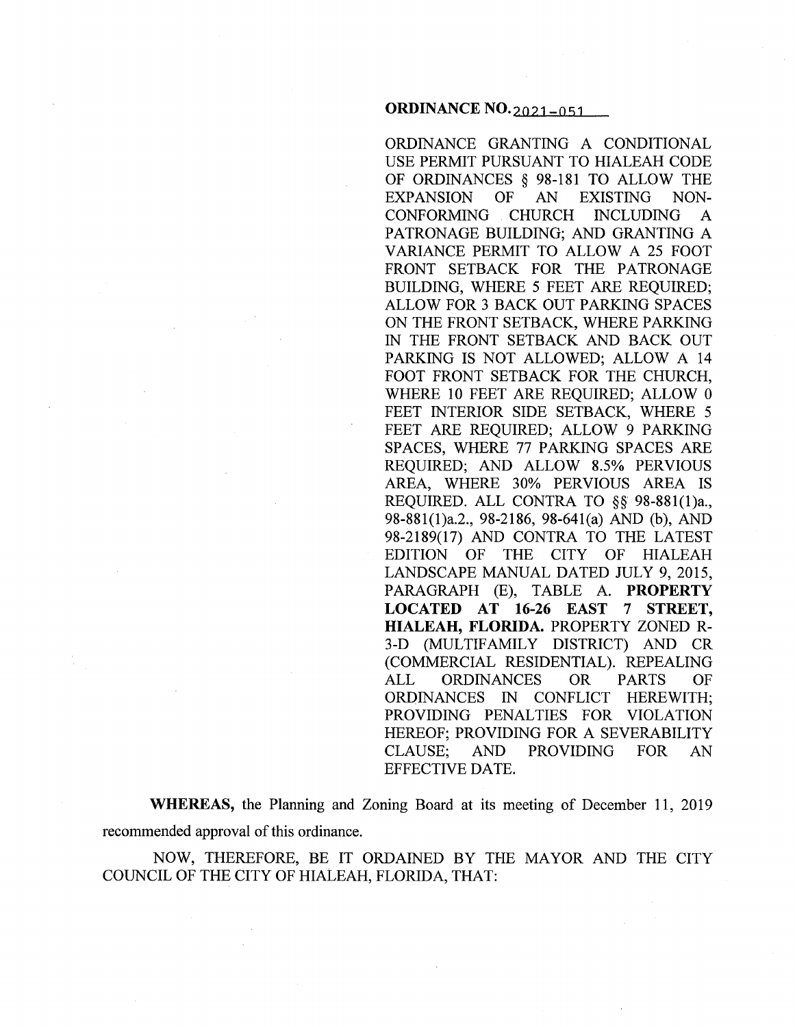#### **ORDINANCE** N0.2021-051

ORDINANCE GRANTING A CONDITIONAL USE PERMIT PURSUANT TO HIALEAH CODE OF ORDINANCES § 98-181 TO ALLOW THE EXPANSION OF AN EXISTING NON-CONFORMING CHURCH INCLUDING A PATRONAGE BUILDING; AND GRANTING A VARIANCE PERMIT TO ALLOW A 25 FOOT FRONT SETBACK FOR THE PATRONAGE BUILDING, WHERE 5 FEET ARE REQUIRED; ALLOW FOR 3 BACK OUT PARKING SPACES ON THE FRONT SETBACK, WHERE PARKING IN THE FRONT SETBACK AND BACK OUT PARKING IS NOT ALLOWED; ALLOW A 14 FOOT FRONT SETBACK FOR THE CHURCH, WHERE 10 FEET ARE REQUIRED; ALLOW 0 FEET INTERIOR SIDE SETBACK, WHERE 5 FEET ARE REQUIRED; ALLOW 9 PARKING SPACES, WHERE 77 PARKING SPACES ARE REQUIRED; AND ALLOW 8.5% PERVIOUS AREA, WHERE 30% PERVIOUS AREA IS REQUIRED. ALL CONTRA TO §§ 98-881(1)a., 98-881(1)a.2., 98-2186, 98-641(a) AND (b), AND 98-2189(17) AND CONTRA TO THE LATEST EDITION OF THE CITY OF HIALEAH LANDSCAPE MANUAL DATED JULY 9, 2015, PARAGRAPH (E), TABLE A. **PROPERTY LOCATED AT 16-26 EAST 7 STREET, HIALEAH, FLORIDA.** PROPERTY ZONED R-3-D (MULTIFAMILY DISTRICT) AND CR (COMMERCIAL RESIDENTIAL). REPEALING ALL ORDINANCES OR PARTS OF ORDINANCES IN CONFLICT HEREWITH; PROVIDING PENALTIES FOR VIOLATION HEREOF; PROVIDING FOR A SEVERABILITY CLAUSE; AND PROVIDING FOR AN EFFECTIVE DATE.

**WHEREAS,** the Planning and Zoning Board at its meeting of December 11, 2019 recommended approval of this ordinance.

NOW, THEREFORE, BE IT ORDAINED BY THE MAYOR AND THE CITY COUNCIL OF THE CITY OF HIALEAH, FLORIDA, THAT: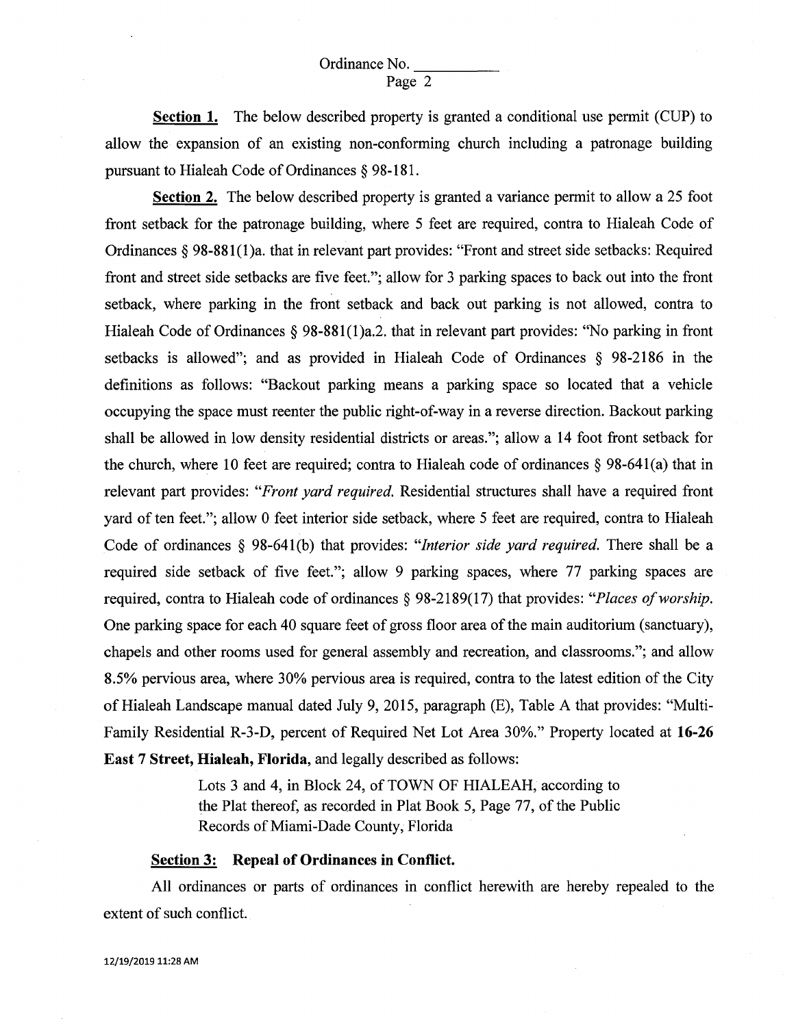**Section 1.** The below described property is granted a conditional use permit (CUP) to allow the expansion of an existing non-conforming church including a patronage building pursuant to Hialeah Code of Ordinances § 98-181.

**Section 2.** The below described property is granted a variance permit to allow a 25 foot front setback for the patronage building, where 5 feet are required, contra to Hialeah Code of Ordinances§ 98-881(1)a. that in relevant part provides: "Front and street side setbacks: Required front and street side setbacks are five feet."; allow for 3 parking spaces to back out into the front setback, where parking in the front setback and back out parking is not allowed, contra to Hialeah Code of Ordinances  $\S$  98-881(1)a.2. that in relevant part provides: "No parking in front setbacks is allowed"; and as provided in Hialeah Code of Ordinances § 98-2186 in the definitions as follows: "Backout parking means a parking space so located that a vehicle occupying the space must reenter the public right-of-way in a reverse direction. Backout parking shall be allowed in low density residential districts or areas."; allow a 14 foot front setback for the church, where 10 feet are required; contra to Hialeah code of ordinances § 98-641(a) that in relevant part provides: *"Front yard required.* Residential structures shall have a required front yard of ten feet."; allow 0 feet interior side setback, where 5 feet are required, contra to Hialeah Code of ordinances § 98-64l(b) that provides: *"Interior side yard required.* There shall be a required side setback of five feet."; allow 9 parking spaces, where 77 parking spaces are required, contra to Hialeah code of ordinances § 98-2189(17) that provides: *"Places of worship.*  One parking space for each 40 square feet of gross floor area of the main auditorium (sanctuary), chapels and other rooms used for general assembly and recreation, and classrooms."; and allow 8.5% pervious area, where 30% pervious area is required, contra to the latest edition of the City of Hialeah Landscape manual dated July 9, 2015, paragraph (E), Table A that provides: "Multifamily Residential R-3-D, percent of Required Net Lot Area 30%." Property located at **16-26 East 7 Street, Hialeah, Florida,** and legally described as follows:

> Lots 3 and 4, in Block 24, of TOWN OF HIALEAH, according to the Plat thereof, as recorded in Plat Book 5, Page 77, of the Public Records of Miami-Dade County, Florida

#### **Section 3: Repeal of Ordinances in Conflict.**

All ordinances or parts of ordinances in conflict herewith are hereby repealed to the extent of such conflict.